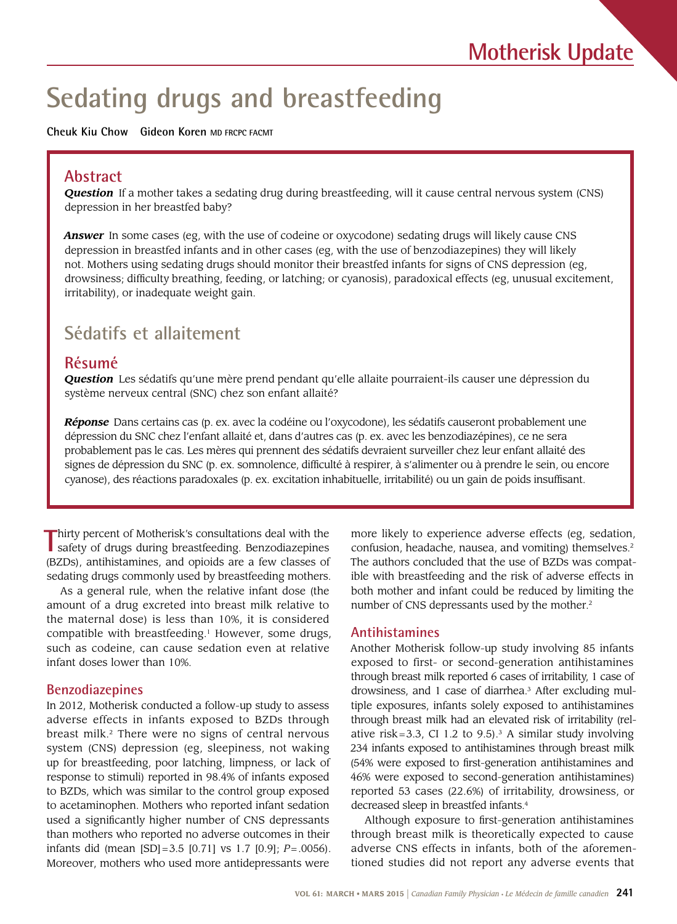## **Sedating drugs and breastfeeding**

#### **Cheuk Kiu Chow Gideon Koren MD FRCPC FACMT**

### **Abstract**

**Question** If a mother takes a sedating drug during breastfeeding, will it cause central nervous system (CNS) depression in her breastfed baby?

*Answer* In some cases (eg, with the use of codeine or oxycodone) sedating drugs will likely cause CNS depression in breastfed infants and in other cases (eg, with the use of benzodiazepines) they will likely not. Mothers using sedating drugs should monitor their breastfed infants for signs of CNS depression (eg, drowsiness; difficulty breathing, feeding, or latching; or cyanosis), paradoxical effects (eg, unusual excitement, irritability), or inadequate weight gain.

## **Sédatifs et allaitement**

### **Résumé**

*Question* Les sédatifs qu'une mère prend pendant qu'elle allaite pourraient-ils causer une dépression du système nerveux central (SNC) chez son enfant allaité?

*Réponse* Dans certains cas (p. ex. avec la codéine ou l'oxycodone), les sédatifs causeront probablement une dépression du SNC chez l'enfant allaité et, dans d'autres cas (p. ex. avec les benzodiazépines), ce ne sera probablement pas le cas. Les mères qui prennent des sédatifs devraient surveiller chez leur enfant allaité des signes de dépression du SNC (p. ex. somnolence, difficulté à respirer, à s'alimenter ou à prendre le sein, ou encore cyanose), des réactions paradoxales (p. ex. excitation inhabituelle, irritabilité) ou un gain de poids insuffisant.

Thirty percent of Motherisk's consultations deal with the safety of drugs during breastfeeding. Benzodiazepines hirty percent of Motherisk's consultations deal with the (BZDs), antihistamines, and opioids are a few classes of sedating drugs commonly used by breastfeeding mothers.

As a general rule, when the relative infant dose (the amount of a drug excreted into breast milk relative to the maternal dose) is less than 10%, it is considered compatible with breastfeeding.<sup>1</sup> However, some drugs, such as codeine, can cause sedation even at relative infant doses lower than 10%.

#### **Benzodiazepines**

In 2012, Motherisk conducted a follow-up study to assess adverse effects in infants exposed to BZDs through breast milk.<sup>2</sup> There were no signs of central nervous system (CNS) depression (eg, sleepiness, not waking up for breastfeeding, poor latching, limpness, or lack of response to stimuli) reported in 98.4% of infants exposed to BZDs, which was similar to the control group exposed to acetaminophen. Mothers who reported infant sedation used a significantly higher number of CNS depressants than mothers who reported no adverse outcomes in their infants did (mean [SD]=3.5 [0.71] vs 1.7 [0.9]; *P*=.0056). Moreover, mothers who used more antidepressants were

more likely to experience adverse effects (eg, sedation, confusion, headache, nausea, and vomiting) themselves.2 The authors concluded that the use of BZDs was compatible with breastfeeding and the risk of adverse effects in both mother and infant could be reduced by limiting the number of CNS depressants used by the mother.<sup>2</sup>

#### **Antihistamines**

Another Motherisk follow-up study involving 85 infants exposed to first- or second-generation antihistamines through breast milk reported 6 cases of irritability, 1 case of drowsiness, and 1 case of diarrhea.<sup>3</sup> After excluding multiple exposures, infants solely exposed to antihistamines through breast milk had an elevated risk of irritability (relative risk=3.3, CI 1.2 to 9.5).<sup>3</sup> A similar study involving 234 infants exposed to antihistamines through breast milk (54% were exposed to first-generation antihistamines and 46% were exposed to second-generation antihistamines) reported 53 cases (22.6%) of irritability, drowsiness, or decreased sleep in breastfed infants.<sup>4</sup>

Although exposure to first-generation antihistamines through breast milk is theoretically expected to cause adverse CNS effects in infants, both of the aforementioned studies did not report any adverse events that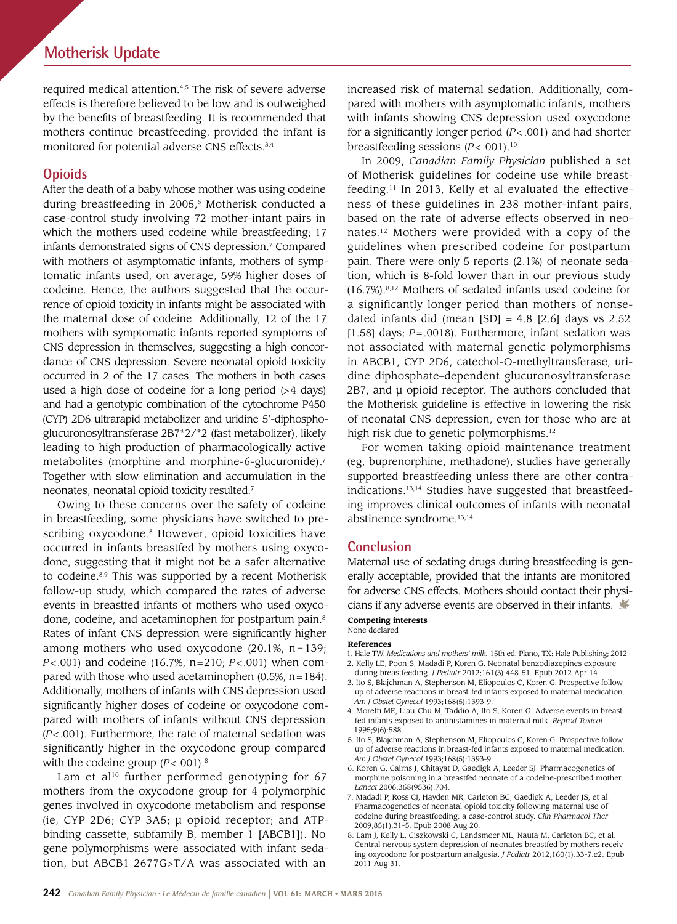required medical attention.<sup>4,5</sup> The risk of severe adverse effects is therefore believed to be low and is outweighed by the benefits of breastfeeding. It is recommended that mothers continue breastfeeding, provided the infant is monitored for potential adverse CNS effects.3,4

#### **Opioids**

After the death of a baby whose mother was using codeine during breastfeeding in 2005,<sup>6</sup> Motherisk conducted a case-control study involving 72 mother-infant pairs in which the mothers used codeine while breastfeeding; 17 infants demonstrated signs of CNS depression.7 Compared with mothers of asymptomatic infants, mothers of symptomatic infants used, on average, 59% higher doses of codeine. Hence, the authors suggested that the occurrence of opioid toxicity in infants might be associated with the maternal dose of codeine. Additionally, 12 of the 17 mothers with symptomatic infants reported symptoms of CNS depression in themselves, suggesting a high concordance of CNS depression. Severe neonatal opioid toxicity occurred in 2 of the 17 cases. The mothers in both cases used a high dose of codeine for a long period (>4 days) and had a genotypic combination of the cytochrome P450 (CYP) 2D6 ultrarapid metabolizer and uridine 5'-diphosphoglucuronosyltransferase 2B7\*2/\*2 (fast metabolizer), likely leading to high production of pharmacologically active metabolites (morphine and morphine-6-glucuronide).7 Together with slow elimination and accumulation in the neonates, neonatal opioid toxicity resulted.7

Owing to these concerns over the safety of codeine in breastfeeding, some physicians have switched to prescribing oxycodone.<sup>8</sup> However, opioid toxicities have occurred in infants breastfed by mothers using oxycodone, suggesting that it might not be a safer alternative to codeine.<sup>8,9</sup> This was supported by a recent Motherisk follow-up study, which compared the rates of adverse events in breastfed infants of mothers who used oxycodone, codeine, and acetaminophen for postpartum pain.8 Rates of infant CNS depression were significantly higher among mothers who used oxycodone (20.1%, n= 139; *P*<.001) and codeine (16.7%, n=210; *P*<.001) when compared with those who used acetaminophen (0.5%, n=184). Additionally, mothers of infants with CNS depression used significantly higher doses of codeine or oxycodone compared with mothers of infants without CNS depression (*P*<.001). Furthermore, the rate of maternal sedation was significantly higher in the oxycodone group compared with the codeine group ( $P < .001$ ).<sup>8</sup>

Lam et al<sup>10</sup> further performed genotyping for  $67$ mothers from the oxycodone group for 4 polymorphic genes involved in oxycodone metabolism and response (ie, CYP 2D6; CYP 3A5; µ opioid receptor; and ATPbinding cassette, subfamily B, member 1 [ABCB1]). No gene polymorphisms were associated with infant sedation, but ABCB1 2677G>T/A was associated with an

increased risk of maternal sedation. Additionally, compared with mothers with asymptomatic infants, mothers with infants showing CNS depression used oxycodone for a significantly longer period (*P*<.001) and had shorter breastfeeding sessions (*P*<.001).10

In 2009, *Canadian Family Physician* published a set of Motherisk guidelines for codeine use while breastfeeding.11 In 2013, Kelly et al evaluated the effectiveness of these guidelines in 238 mother-infant pairs, based on the rate of adverse effects observed in neonates.12 Mothers were provided with a copy of the guidelines when prescribed codeine for postpartum pain. There were only 5 reports (2.1%) of neonate sedation, which is 8-fold lower than in our previous study  $(16.7\%)$ .<sup>8,12</sup> Mothers of sedated infants used codeine for a significantly longer period than mothers of nonsedated infants did (mean  $[SD] = 4.8$   $[2.6]$  days vs 2.52 [1.58] days; *P*=.0018). Furthermore, infant sedation was not associated with maternal genetic polymorphisms in ABCB1, CYP 2D6, catechol-O-methyltransferase, uridine diphosphate–dependent glucuronosyltransferase 2B7, and µ opioid receptor. The authors concluded that the Motherisk guideline is effective in lowering the risk of neonatal CNS depression, even for those who are at high risk due to genetic polymorphisms.<sup>12</sup>

For women taking opioid maintenance treatment (eg, buprenorphine, methadone), studies have generally supported breastfeeding unless there are other contraindications.13,14 Studies have suggested that breastfeeding improves clinical outcomes of infants with neonatal abstinence syndrome.<sup>13,14</sup>

#### **Conclusion**

Maternal use of sedating drugs during breastfeeding is generally acceptable, provided that the infants are monitored for adverse CNS effects. Mothers should contact their physicians if any adverse events are observed in their infants.  $\mathcal{K}$ 

#### **Competing interests** None declared

#### **References**

- 1. Hale TW. *Medications and mothers' milk.* 15th ed. Plano, TX: Hale Publishing; 2012. 2. Kelly LE, Poon S, Madadi P, Koren G. Neonatal benzodiazepines exposure
- during breastfeeding. *J Pediatr* 2012;161(3):448-51. Epub 2012 Apr 14. 3. Ito S, Blajchman A, Stephenson M, Eliopoulos C, Koren G. Prospective follow-
- up of adverse reactions in breast-fed infants exposed to maternal medication. *Am J Obstet Gynecol* 1993;168(5):1393-9.
- 4. Moretti ME, Liau-Chu M, Taddio A, Ito S, Koren G. Adverse events in breastfed infants exposed to antihistamines in maternal milk. *Reprod Toxicol* 1995;9(6):588.
- 5. Ito S, Blajchman A, Stephenson M, Eliopoulos C, Koren G. Prospective followup of adverse reactions in breast-fed infants exposed to maternal medication. *Am J Obstet Gynecol* 1993;168(5):1393-9.
- 6. Koren G, Cairns J, Chitayat D, Gaedigk A, Leeder SJ. Pharmacogenetics of morphine poisoning in a breastfed neonate of a codeine-prescribed mother. *Lancet* 2006;368(9536):704.
- 7. Madadi P, Ross CJ, Hayden MR, Carleton BC, Gaedigk A, Leeder JS, et al. Pharmacogenetics of neonatal opioid toxicity following maternal use of codeine during breastfeeding: a case-control study. *Clin Pharmacol Ther* 2009;85(1):31-5. Epub 2008 Aug 20.
- 8. Lam J, Kelly L, Ciszkowski C, Landsmeer ML, Nauta M, Carleton BC, et al. Central nervous system depression of neonates breastfed by mothers receiving oxycodone for postpartum analgesia. *J Pediatr* 2012;160(1):33-7.e2. Epub 2011 Aug 31.